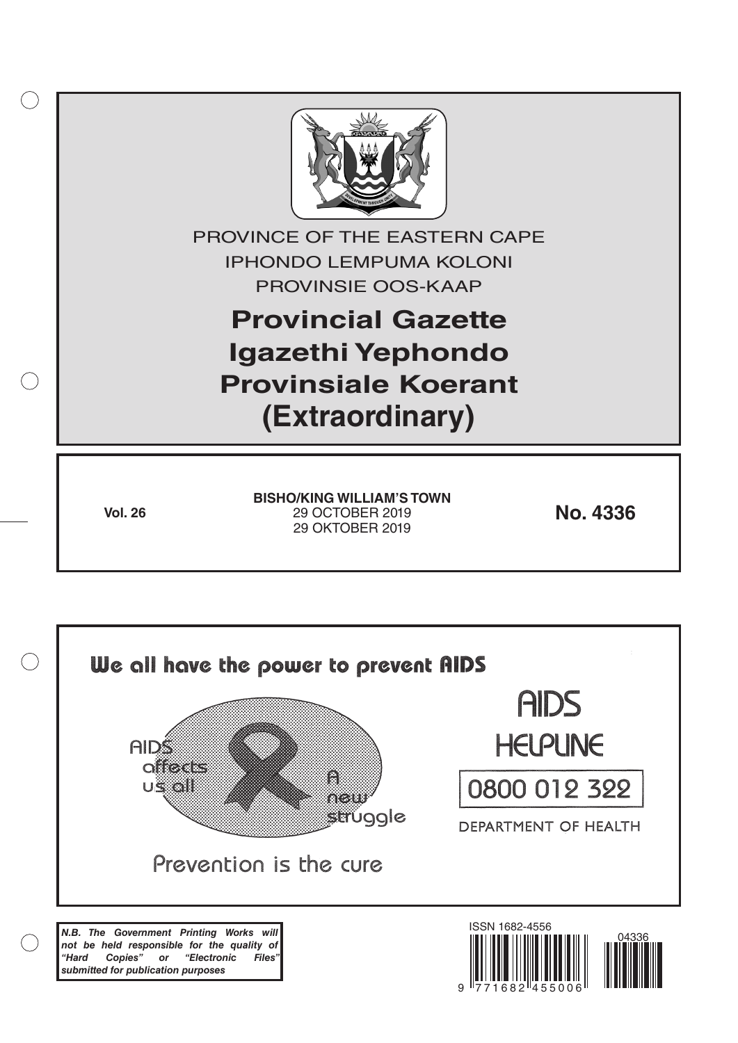

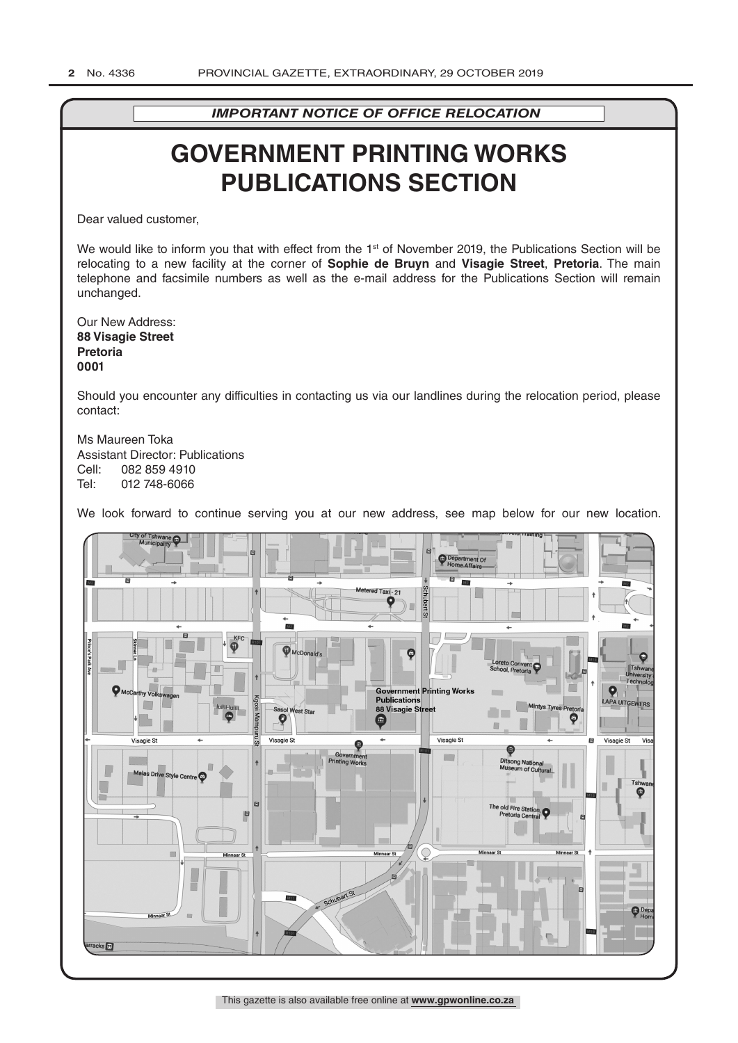*IMPORTANT NOTICE OF OFFICE RELOCATION*

# **GOVERNMENT PRINTING WORKS PUBLICATIONS SECTION**

Dear valued customer,

We would like to inform you that with effect from the 1<sup>st</sup> of November 2019, the Publications Section will be relocating to a new facility at the corner of **Sophie de Bruyn** and **Visagie Street**, **Pretoria**. The main telephone and facsimile numbers as well as the e-mail address for the Publications Section will remain unchanged.

Our New Address: **88 Visagie Street Pretoria 0001**

Should you encounter any difficulties in contacting us via our landlines during the relocation period, please contact:

Ms Maureen Toka Assistant Director: Publications Cell: 082 859 4910 Tel: 012 748-6066

We look forward to continue serving you at our new address, see map below for our new location.



This gazette is also available free online at **www.gpwonline.co.za**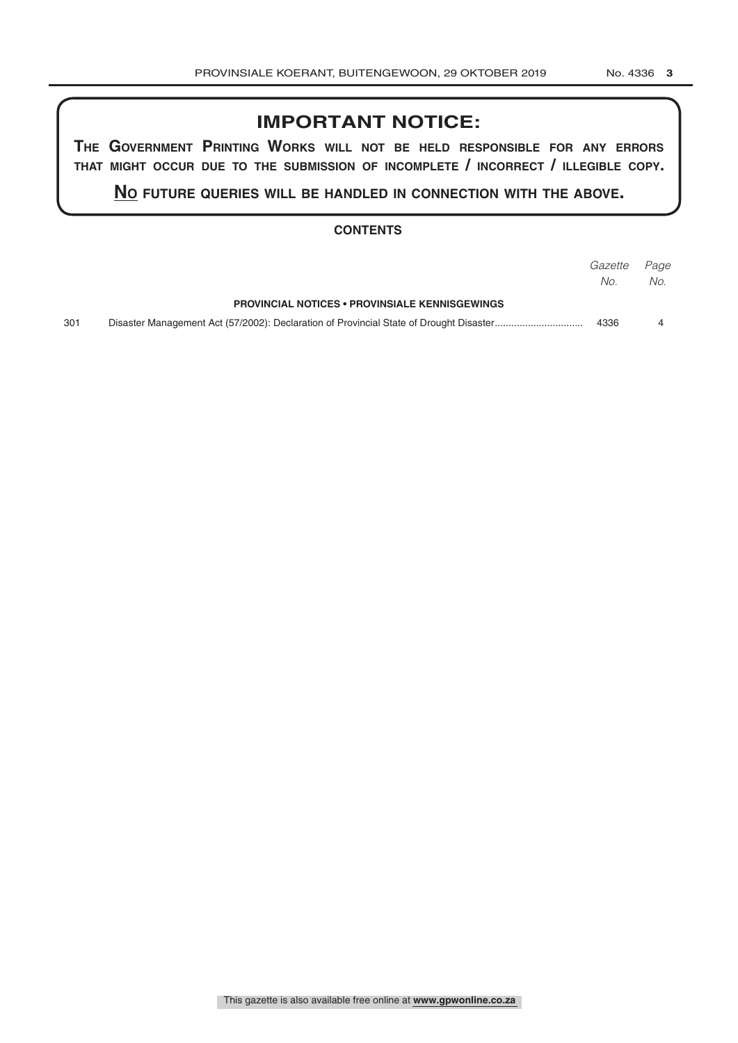### **IMPORTANT NOTICE:**

**The GovernmenT PrinTinG Works Will noT be held resPonsible for any errors ThaT miGhT occur due To The submission of incomPleTe / incorrecT / illeGible coPy.**

**no fuTure queries Will be handled in connecTion WiTh The above.**

#### **CONTENTS**

|                                                       |  | <i>Gazette Page</i> |     |
|-------------------------------------------------------|--|---------------------|-----|
|                                                       |  | No.                 | No. |
| <b>PROVINCIAL NOTICES • PROVINSIALE KENNISGEWINGS</b> |  |                     |     |
| 301                                                   |  | 4336                |     |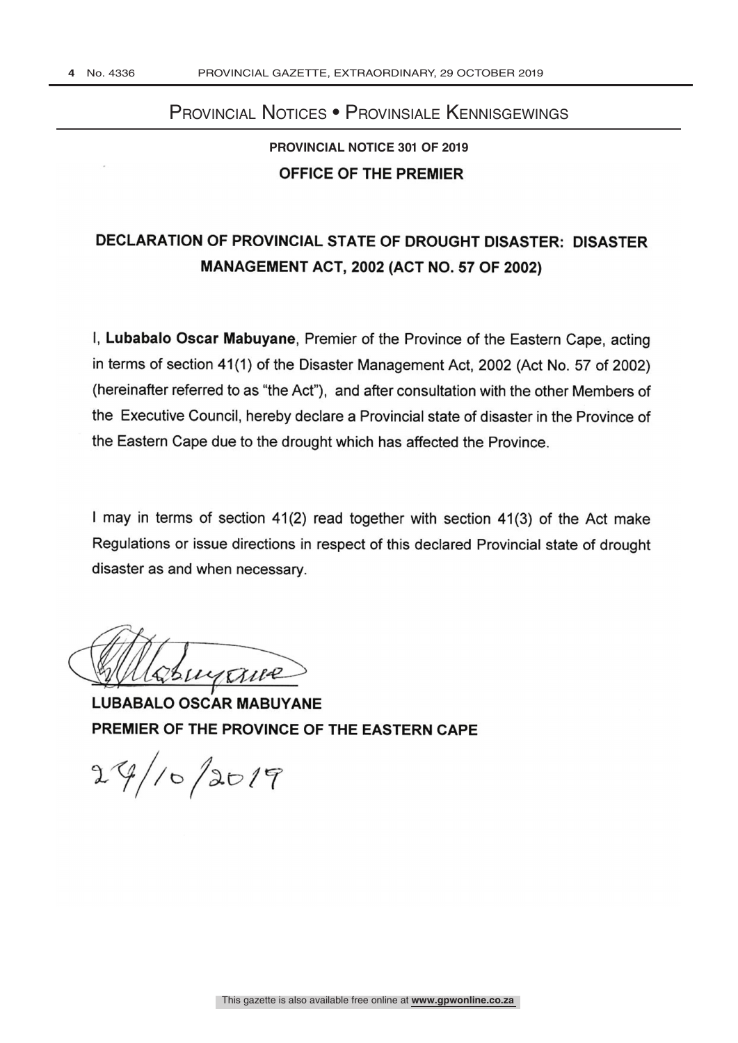# PROVINCIAL NOTICES • PROVINSIALE KENNISGEWINGS

OFFICE OF THE PREMIER **PROVINCIAL NOTICE 301 OF 2019** 

## DECLARATION OF PROVINCIAL STATE OF DROUGHT DISASTER: DISASTER MANAGEMENT ACT, 2002 (ACT NO. 57 OF 2002)

I, Lubabalo Oscar Mabuyane, Premier of the Province of the Eastern Cape, acting in terms of section 41(1) of the Disaster Management Act, 2002 (Act No. 57 of 2002) (hereinafter referred to as "the Act"), and after consultation with the other Members of the Executive Council, hereby declare a Provincial state of disaster in the Province of the Eastern Cape due to the drought which has affected the Province.

I may in terms of section 41(2) read together with section 41(3) of the Act make Regulations or issue directions in respect of this declared Provincial state of drought disaster as and when necessary.

wythere

LUBABALO OSCAR MABUYANE PREMIER OF THE PROVINCE OF THE EASTERN CAPE

 $29/10/2019$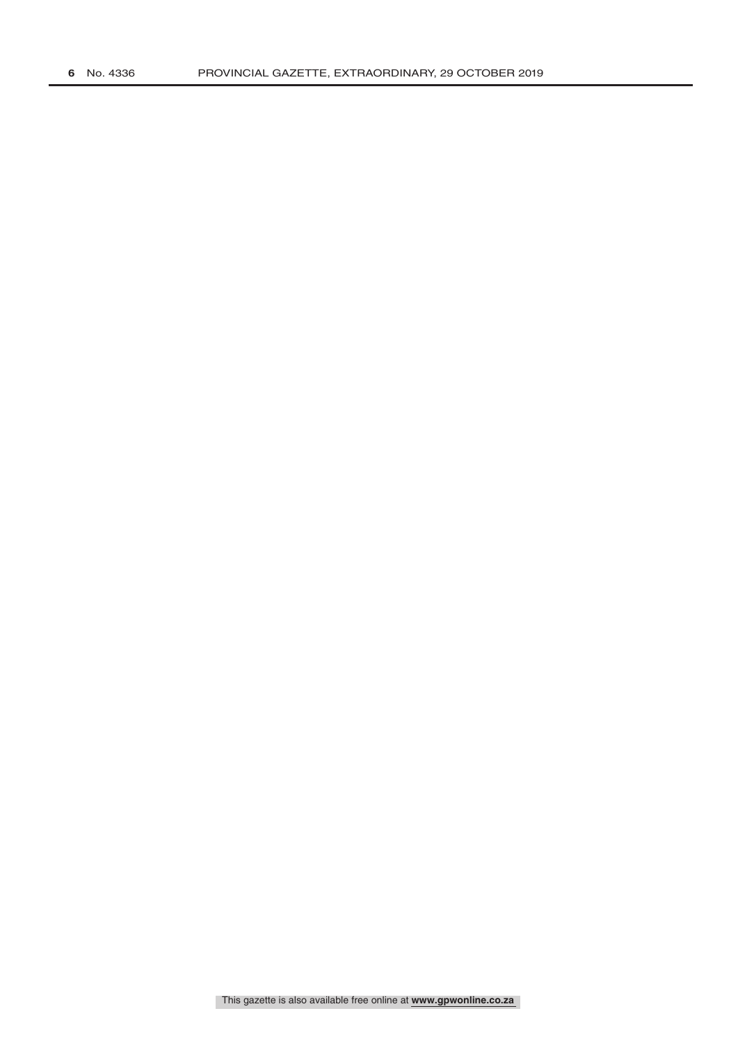This gazette is also available free online at **www.gpwonline.co.za**